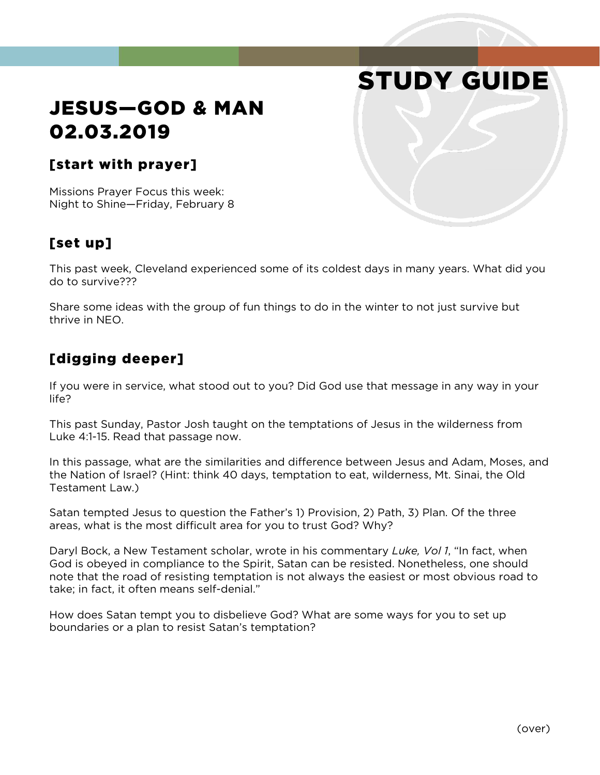# STUDY GUIDE

# JESUS—GOD & MAN 02.03.2019

#### [start with prayer]

Missions Prayer Focus this week: Night to Shine—Friday, February 8

## [set up]

This past week, Cleveland experienced some of its coldest days in many years. What did you do to survive???

Share some ideas with the group of fun things to do in the winter to not just survive but thrive in NEO.

### [digging deeper]

If you were in service, what stood out to you? Did God use that message in any way in your life?

This past Sunday, Pastor Josh taught on the temptations of Jesus in the wilderness from Luke 4:1-15. Read that passage now.

In this passage, what are the similarities and difference between Jesus and Adam, Moses, and the Nation of Israel? (Hint: think 40 days, temptation to eat, wilderness, Mt. Sinai, the Old Testament Law.)

Satan tempted Jesus to question the Father's 1) Provision, 2) Path, 3) Plan. Of the three areas, what is the most difficult area for you to trust God? Why?

Daryl Bock, a New Testament scholar, wrote in his commentary *Luke, Vol 1*, "In fact, when God is obeyed in compliance to the Spirit, Satan can be resisted. Nonetheless, one should note that the road of resisting temptation is not always the easiest or most obvious road to take; in fact, it often means self-denial."

How does Satan tempt you to disbelieve God? What are some ways for you to set up boundaries or a plan to resist Satan's temptation?